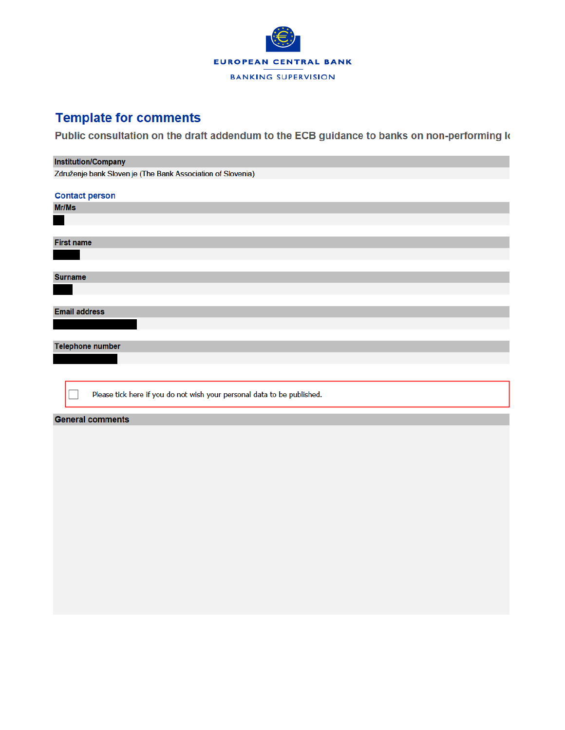

## **Template for comments**

Public consultation on the draft addendum to the ECB guidance to banks on non-performing k

## **Institution/Company** Združenje bank Sloven je (The Bank Association of Slovenia) **Contact person** Mr/Ms **First name Surname Email address Telephone number** Please tick here if you do not wish your personal data to be published. **General comments**